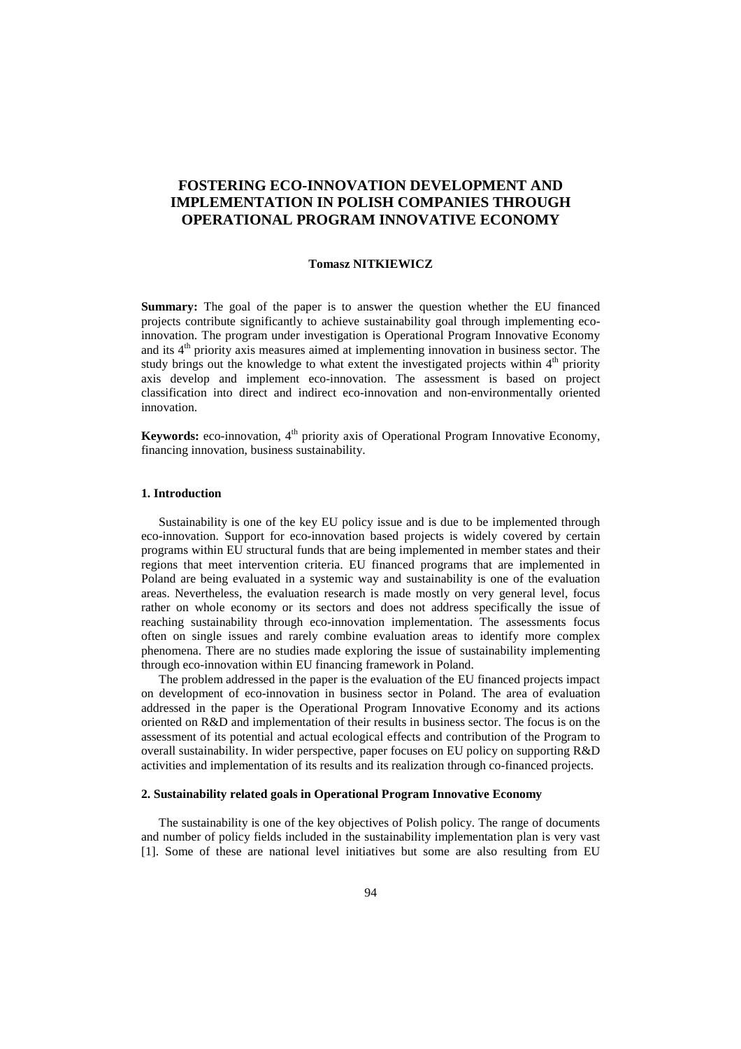# **FOSTERING ECO-INNOVATION DEVELOPMENT AND IMPLEMENTATION IN POLISH COMPANIES THROUGH OPERATIONAL PROGRAM INNOVATIVE ECONOMY**

#### **Tomasz NITKIEWICZ**

**Summary:** The goal of the paper is to answer the question whether the EU financed projects contribute significantly to achieve sustainability goal through implementing ecoinnovation. The program under investigation is Operational Program Innovative Economy and its  $4<sup>th</sup>$  priority axis measures aimed at implementing innovation in business sector. The study brings out the knowledge to what extent the investigated projects within  $4<sup>th</sup>$  priority axis develop and implement eco-innovation. The assessment is based on project classification into direct and indirect eco-innovation and non-environmentally oriented innovation.

**Keywords:** eco-innovation, 4<sup>th</sup> priority axis of Operational Program Innovative Economy, financing innovation, business sustainability.

#### **1. Introduction**

Sustainability is one of the key EU policy issue and is due to be implemented through eco-innovation. Support for eco-innovation based projects is widely covered by certain programs within EU structural funds that are being implemented in member states and their regions that meet intervention criteria. EU financed programs that are implemented in Poland are being evaluated in a systemic way and sustainability is one of the evaluation areas. Nevertheless, the evaluation research is made mostly on very general level, focus rather on whole economy or its sectors and does not address specifically the issue of reaching sustainability through eco-innovation implementation. The assessments focus often on single issues and rarely combine evaluation areas to identify more complex phenomena. There are no studies made exploring the issue of sustainability implementing through eco-innovation within EU financing framework in Poland.

The problem addressed in the paper is the evaluation of the EU financed projects impact on development of eco-innovation in business sector in Poland. The area of evaluation addressed in the paper is the Operational Program Innovative Economy and its actions oriented on R&D and implementation of their results in business sector. The focus is on the assessment of its potential and actual ecological effects and contribution of the Program to overall sustainability. In wider perspective, paper focuses on EU policy on supporting R&D activities and implementation of its results and its realization through co-financed projects.

#### **2. Sustainability related goals in Operational Program Innovative Economy**

The sustainability is one of the key objectives of Polish policy. The range of documents and number of policy fields included in the sustainability implementation plan is very vast [1]. Some of these are national level initiatives but some are also resulting from EU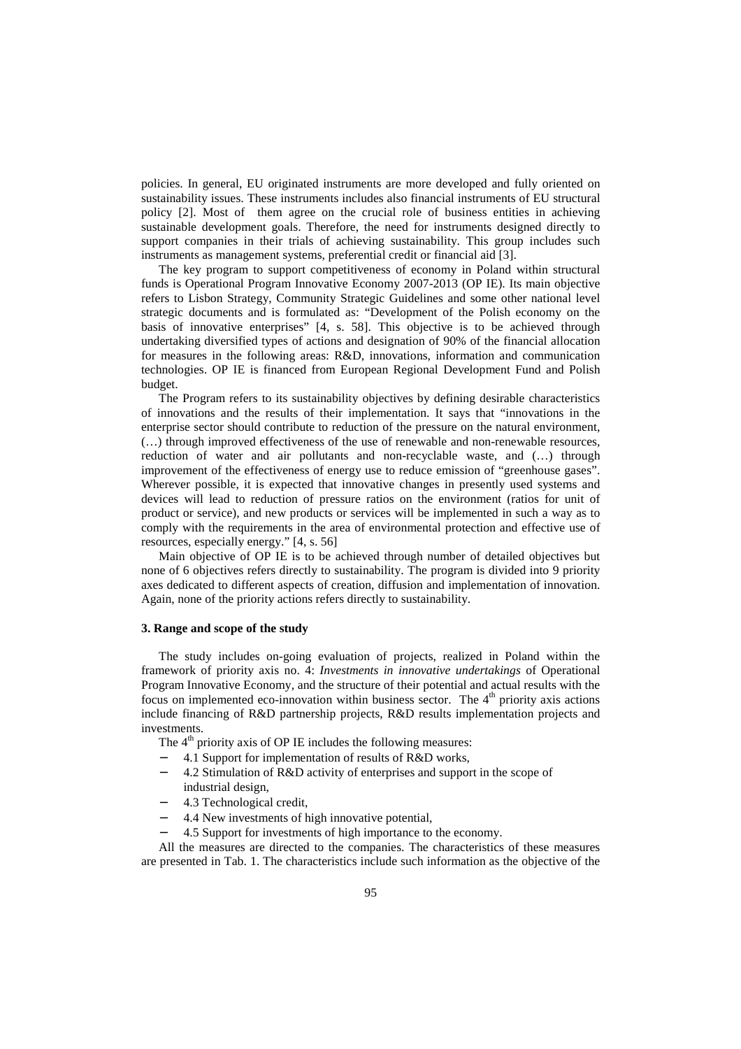policies. In general, EU originated instruments are more developed and fully oriented on sustainability issues. These instruments includes also financial instruments of EU structural policy [2]. Most of them agree on the crucial role of business entities in achieving sustainable development goals. Therefore, the need for instruments designed directly to support companies in their trials of achieving sustainability. This group includes such instruments as management systems, preferential credit or financial aid [3].

The key program to support competitiveness of economy in Poland within structural funds is Operational Program Innovative Economy 2007-2013 (OP IE). Its main objective refers to Lisbon Strategy, Community Strategic Guidelines and some other national level strategic documents and is formulated as: "Development of the Polish economy on the basis of innovative enterprises" [4, s. 58]. This objective is to be achieved through undertaking diversified types of actions and designation of 90% of the financial allocation for measures in the following areas: R&D, innovations, information and communication technologies. OP IE is financed from European Regional Development Fund and Polish budget.

The Program refers to its sustainability objectives by defining desirable characteristics of innovations and the results of their implementation. It says that "innovations in the enterprise sector should contribute to reduction of the pressure on the natural environment, (…) through improved effectiveness of the use of renewable and non-renewable resources, reduction of water and air pollutants and non-recyclable waste, and (…) through improvement of the effectiveness of energy use to reduce emission of "greenhouse gases". Wherever possible, it is expected that innovative changes in presently used systems and devices will lead to reduction of pressure ratios on the environment (ratios for unit of product or service), and new products or services will be implemented in such a way as to comply with the requirements in the area of environmental protection and effective use of resources, especially energy." [4, s. 56]

Main objective of OP IE is to be achieved through number of detailed objectives but none of 6 objectives refers directly to sustainability. The program is divided into 9 priority axes dedicated to different aspects of creation, diffusion and implementation of innovation. Again, none of the priority actions refers directly to sustainability.

#### **3. Range and scope of the study**

The study includes on-going evaluation of projects, realized in Poland within the framework of priority axis no. 4: *Investments in innovative undertakings* of Operational Program Innovative Economy, and the structure of their potential and actual results with the focus on implemented eco-innovation within business sector. The  $4<sup>th</sup>$  priority axis actions include financing of R&D partnership projects, R&D results implementation projects and investments.

The  $4<sup>th</sup>$  priority axis of OP IE includes the following measures:

- − 4.1 Support for implementation of results of R&D works,
- − 4.2 Stimulation of R&D activity of enterprises and support in the scope of industrial design,
- − 4.3 Technological credit,
- 4.4 New investments of high innovative potential,
- 4.5 Support for investments of high importance to the economy.

All the measures are directed to the companies. The characteristics of these measures are presented in Tab. 1. The characteristics include such information as the objective of the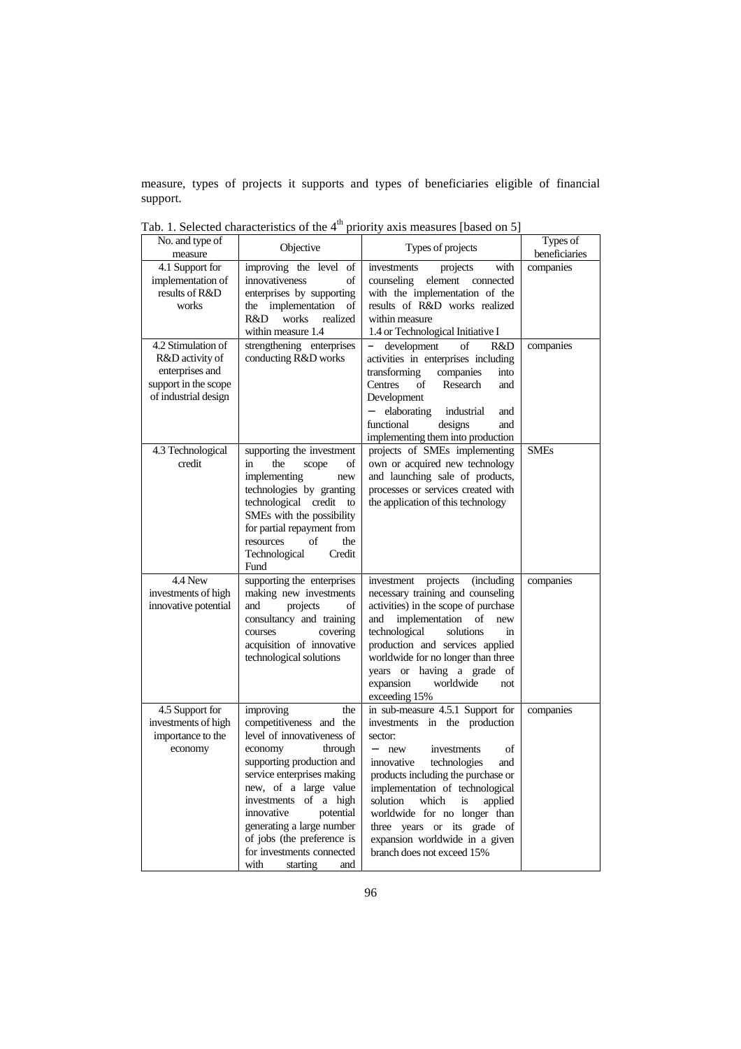measure, types of projects it supports and types of beneficiaries eligible of financial support.

| No. and type of<br>measure                                                                               | Objective<br>Types of projects                                                                                                                                                                                                                                                                                                                             |                                                                                                                                                                                                                                                                                                                                                                                                         | Types of<br>beneficiaries |
|----------------------------------------------------------------------------------------------------------|------------------------------------------------------------------------------------------------------------------------------------------------------------------------------------------------------------------------------------------------------------------------------------------------------------------------------------------------------------|---------------------------------------------------------------------------------------------------------------------------------------------------------------------------------------------------------------------------------------------------------------------------------------------------------------------------------------------------------------------------------------------------------|---------------------------|
| 4.1 Support for<br>implementation of<br>results of R&D<br>works                                          | improving the level<br>of<br>innovativeness<br>of<br>enterprises by supporting<br>implementation<br>of<br>the<br>R&D<br>works<br>realized<br>within measure 1.4                                                                                                                                                                                            | with<br>investments<br>projects<br>element<br>counseling<br>connected<br>with the implementation of the<br>results of R&D works realized<br>within measure<br>1.4 or Technological Initiative I                                                                                                                                                                                                         | companies                 |
| 4.2 Stimulation of<br>R&D activity of<br>enterprises and<br>support in the scope<br>of industrial design | strengthening enterprises<br>conducting R&D works                                                                                                                                                                                                                                                                                                          | development<br>of<br>R&D<br>activities in enterprises including<br>transforming<br>companies<br>into<br>Research<br>Centres<br>of<br>and<br>Development<br>elaborating<br>industrial<br>and<br>functional<br>designs<br>and<br>implementing them into production                                                                                                                                        | companies                 |
| 4.3 Technological<br>credit                                                                              | supporting the investment<br>in<br>the<br>of<br>scope<br>implementing<br>new<br>technologies by granting<br>technological credit<br>to<br>SMEs with the possibility<br>for partial repayment from<br>the<br>resources<br>of<br>Technological<br>Credit<br>Fund                                                                                             | projects of SMEs implementing<br>own or acquired new technology<br>and launching sale of products,<br>processes or services created with<br>the application of this technology                                                                                                                                                                                                                          | <b>SMEs</b>               |
| 4.4 New<br>investments of high<br>innovative potential                                                   | supporting the enterprises<br>making new investments<br>projects<br>of<br>and<br>consultancy and training<br>covering<br>courses<br>acquisition of innovative<br>technological solutions                                                                                                                                                                   | projects<br>(including)<br>investment<br>necessary training and counseling<br>activities) in the scope of purchase<br>implementation<br>of<br>new<br>and<br>technological<br>solutions<br>in<br>production and services applied<br>worldwide for no longer than three<br>years or having a grade of<br>worldwide<br>expansion<br>not<br>exceeding 15%                                                   | companies                 |
| 4.5 Support for<br>investments of high<br>importance to the<br>economy                                   | improving<br>the<br>competitiveness and the<br>level of innovativeness of<br>economy<br>through<br>supporting production and<br>service enterprises making<br>new, of a large value<br>investments of a high<br>innovative<br>potential<br>generating a large number<br>of jobs (the preference is<br>for investments connected<br>with<br>starting<br>and | in sub-measure 4.5.1 Support for<br>investments in the production<br>sector:<br>$\equiv$<br>of<br>new<br>investments<br>innovative<br>technologies<br>and<br>products including the purchase or<br>implementation of technological<br>solution<br>which<br>applied<br>is<br>worldwide for no longer than<br>three years or its grade of<br>expansion worldwide in a given<br>branch does not exceed 15% | companies                 |

Tab. 1. Selected characteristics of the  $4<sup>th</sup>$  priority axis measures [based on 5]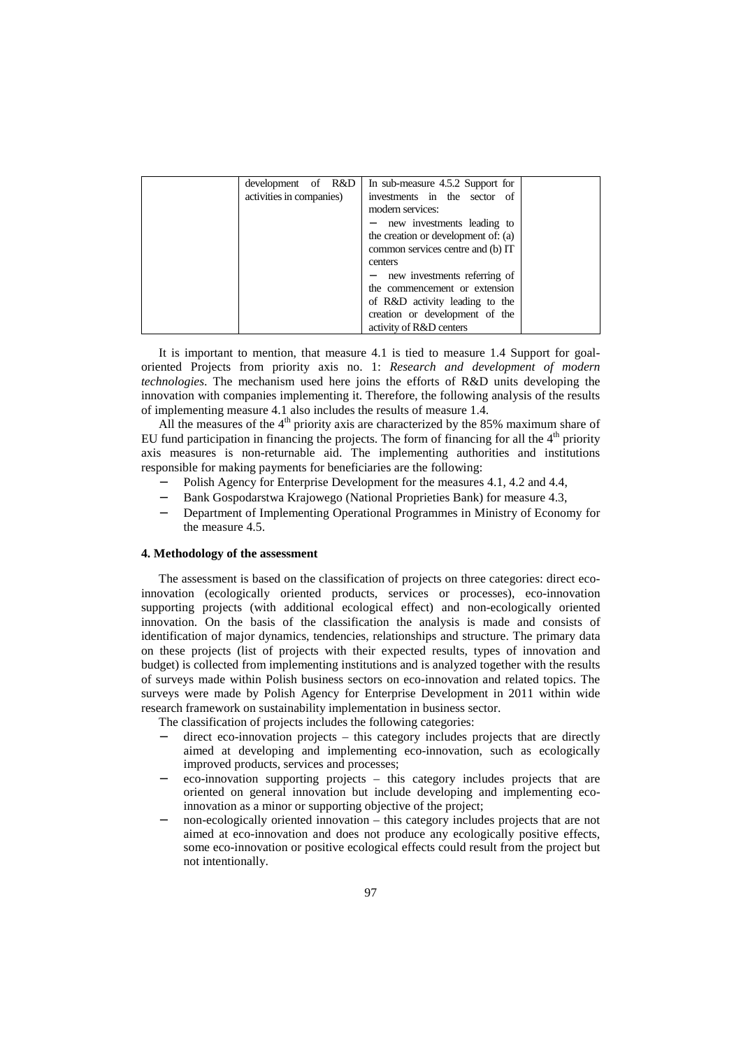| development of R&D       | In sub-measure 4.5.2 Support for    |  |
|--------------------------|-------------------------------------|--|
| activities in companies) | investments in the sector of        |  |
|                          | modern services:                    |  |
|                          | - new investments leading to        |  |
|                          | the creation or development of: (a) |  |
|                          | common services centre and (b) IT   |  |
|                          | centers                             |  |
|                          | - new investments referring of      |  |
|                          | the commencement or extension       |  |
|                          | of R&D activity leading to the      |  |
|                          | creation or development of the      |  |
|                          | activity of R&D centers             |  |

It is important to mention, that measure 4.1 is tied to measure 1.4 Support for goaloriented Projects from priority axis no. 1: *Research and development of modern technologies*. The mechanism used here joins the efforts of R&D units developing the innovation with companies implementing it. Therefore, the following analysis of the results of implementing measure 4.1 also includes the results of measure 1.4.

All the measures of the  $4<sup>th</sup>$  priority axis are characterized by the 85% maximum share of EU fund participation in financing the projects. The form of financing for all the  $4<sup>th</sup>$  priority axis measures is non-returnable aid. The implementing authorities and institutions responsible for making payments for beneficiaries are the following:

- Polish Agency for Enterprise Development for the measures 4.1, 4.2 and 4.4,
- Bank Gospodarstwa Krajowego (National Proprieties Bank) for measure 4.3,
- − Department of Implementing Operational Programmes in Ministry of Economy for the measure 4.5.

## **4. Methodology of the assessment**

The assessment is based on the classification of projects on three categories: direct ecoinnovation (ecologically oriented products, services or processes), eco-innovation supporting projects (with additional ecological effect) and non-ecologically oriented innovation. On the basis of the classification the analysis is made and consists of identification of major dynamics, tendencies, relationships and structure. The primary data on these projects (list of projects with their expected results, types of innovation and budget) is collected from implementing institutions and is analyzed together with the results of surveys made within Polish business sectors on eco-innovation and related topics. The surveys were made by Polish Agency for Enterprise Development in 2011 within wide research framework on sustainability implementation in business sector.

The classification of projects includes the following categories:

- direct eco-innovation projects this category includes projects that are directly aimed at developing and implementing eco-innovation, such as ecologically improved products, services and processes;
- eco-innovation supporting projects this category includes projects that are oriented on general innovation but include developing and implementing ecoinnovation as a minor or supporting objective of the project;
- non-ecologically oriented innovation this category includes projects that are not aimed at eco-innovation and does not produce any ecologically positive effects, some eco-innovation or positive ecological effects could result from the project but not intentionally.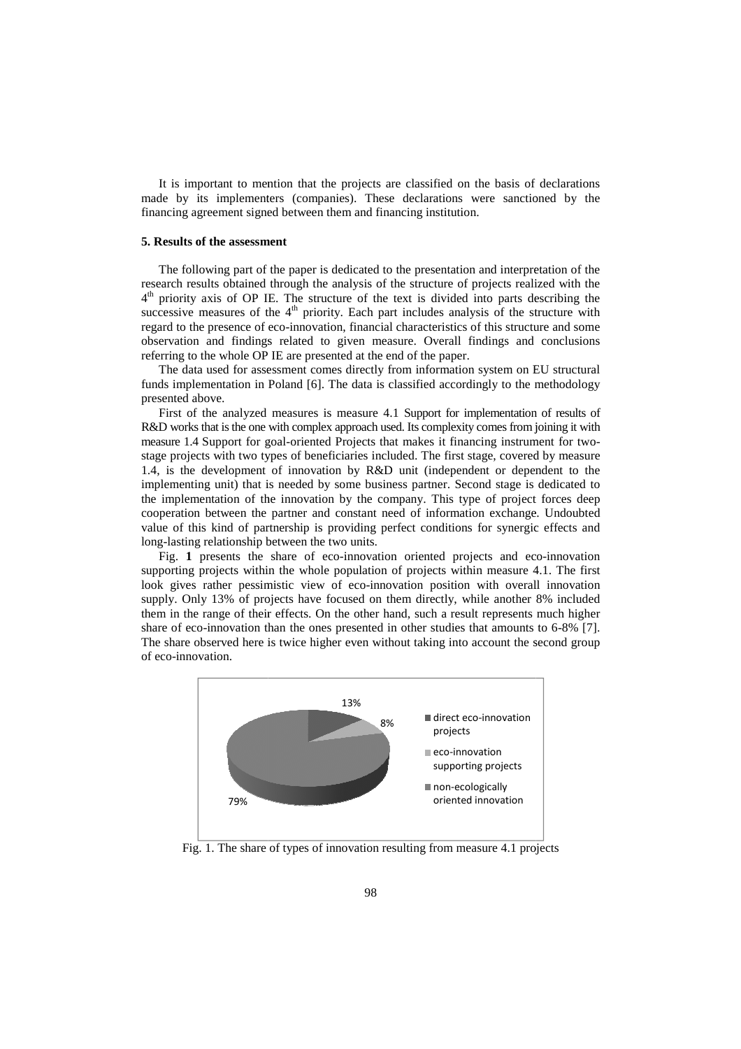It is important to mention that the projects are classified on the basis of declarations made by its implementers (companies). These declarations were sanctioned by the financing agreement signed between them and financing institution.

#### **5. Results of the assessment . assessment**

The following part of the paper is dedicated to the presentation and interpretation of the research results obtained through the analysis of the structure of projects realized with the 4<sup>th</sup> priority axis of OP IE. The structure of the text is divided into parts describing the successive measures of the  $4<sup>th</sup>$  priority. Each part includes analysis of the structure with regard to the presence of eco-innovation, financial characteristics of this structure and some observation and findings related to given measure. Overall findings and conclusions referring to the whole OP IE are presented at the end of the paper. ority. Each part includes analysis of the structure with<br>ation, financial characteristics of this structure and some<br>to given measure. Overall findings and conclusions<br>seented at the end of the paper.<br>Omes directly from in

The data used for assessment comes directly from information system on EU structural funds implementation in Poland [6]. The data is classified accordingly to the methodology presented above.

First of the analyzed measures is measure 4.1 Support for implementation of results of R&D works that is the one with complex approach used. Its complexity comes from joining it with measure 1.4 Support for goal-oriented Projects that makes it financing instrument for two stage projects with two types of beneficiaries included. The first stage, covered by measure 1.4, is the development of innovation by R&D unit (independent or dependent to the implementing unit) that is needed by some business partner. Second stage is dedicated to the implementation of the innovation by the company. This type of project forces deep cooperation between the partner and constant need of information exchange. Undoubted value of this kind of partnership is providing perfect conditions for synergic effects and long-lasting relationship between the two units. external of partnership is providing perfect conditions for synergic effects and g-lasting relationship between the two units.<br>Fig. 1 presents the share of eco-innovation oriented projects and eco-innovation

supporting projects within the whole population of projects within measure 4.1. The first look gives rather pessimistic view of eco-innovation position with overall innovation supply. Only 13% of projects have focused on them directly, while another 8% included them in the range of their effects. On the other hand, such a result represents share of eco-innovation than the ones presented in other studies that amounts to  $6-8\%$  [7]. The share observed here is twice higher even without taking into account the second group of eco-innovation. innovation position with overall innovation<br>on them directly, while another 8% included<br>er hand, such a result represents much higher



Fig. 1. The share of types of innovation resulting from measure 4.1 projects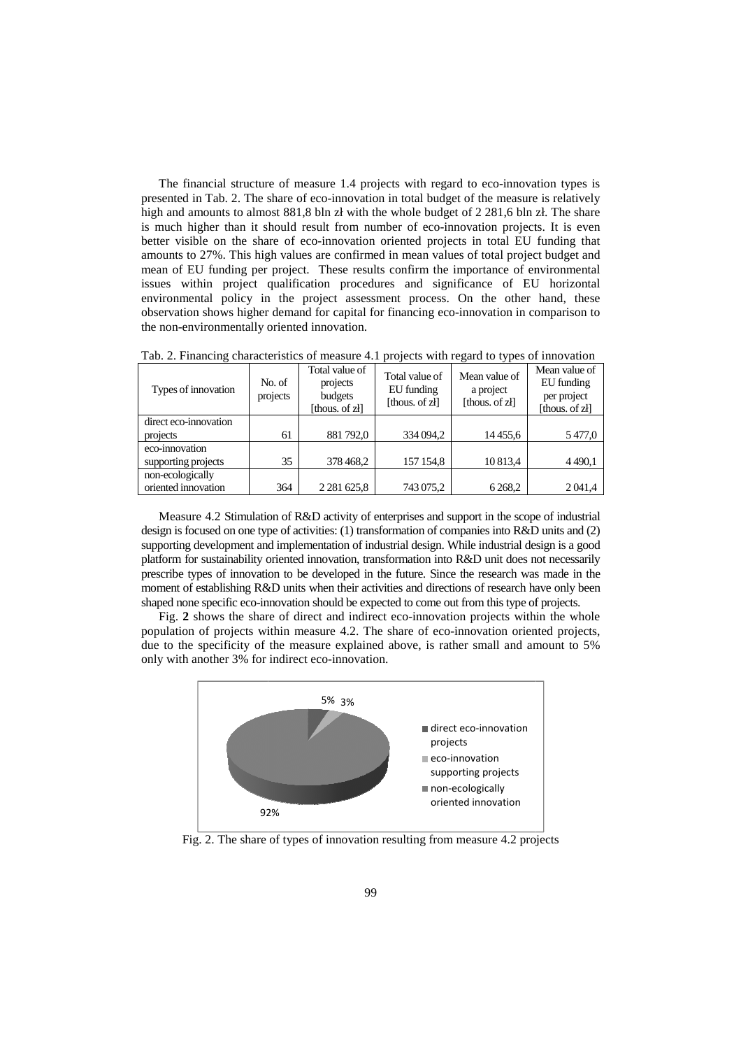The financial structure of measure 1.4 projects with regard to eco-innovation types is sented in Tab. 2. The share of eco-innovation in total budget of the measure is relatively h and amounts to almost 881,8 bln zł with th presented in Tab. 2. The share of eco-innovation in total budget of the measure is relatively high and amounts to almost 881,8 bln zł with the whole budget of 2 281,6 bln zł. The share is much higher than it should result from number of eco-innovation projects. It is even better visible on the share of eco-innovation oriented projects in total EU funding amounts to 27%. This high values are confirmed in mean values of total project budget and mean of EU funding per project. These results confirm the importance of environmental issues within project qualification procedures and significance of EU horizontal environmental policy in the project assessment process. On the other hand, these observation shows higher demand for capital for financing eco-innovation in comparison to the non-environmentally oriented innovation.

| Types of innovation   | No. of<br>projects | Total value of<br>projects<br>budgets<br>[thous. of zł] | Total value of<br>EU funding<br>[thous. of zł] | Mean value of<br>a project<br>[thous. of zł] | Mean value of<br>EU funding<br>per project<br>[thous. of zł] |
|-----------------------|--------------------|---------------------------------------------------------|------------------------------------------------|----------------------------------------------|--------------------------------------------------------------|
| direct eco-innovation |                    |                                                         |                                                |                                              |                                                              |
| projects              | 61                 | 881 792,0                                               | 334 094,2                                      | 14 4 55,6                                    | 5477,0                                                       |
| eco-innovation        |                    |                                                         |                                                |                                              |                                                              |
| supporting projects   | 35                 | 378 468,2                                               | 157 154,8                                      | 10 813,4                                     | 4490,1                                                       |
| non-ecologically      |                    |                                                         |                                                |                                              |                                                              |
| oriented innovation   | 364                | 2 2 8 1 6 2 5 , 8                                       | 743 075,2                                      | 6 2 6 8 , 2                                  | 2041,4                                                       |

Tab. 2. Financing characteristics of measure 4.1 projects with regard to types of innovation .

Measure 4.2 Stimulation of R&D activity of enterprises and support in the scope of industrial design is focused on one type of activities: (1) transformation of companies into R&D units and (2) supporting development and implementation of industrial design. While industrial design is a good platform for sustainability oriented innovation, transformation into R&D unit does not necessarily prescribe types of innovation to be develop developed in the future. Since the research was made in the moment of establishing R&D units when their activities and directions of research have only been shaped none specific eco-innovation should be expected to come out from this type of projects. bed none specific eco-innovation should be expected to come out from this type of projects.<br>Fig. 2 shows the share of direct and indirect eco-innovation projects within the whole ) transformation of companies into R&D units and (2) of industrial design. While industrial design is a good on, transformation into R&D unit does not necessarily ed in the future. Since the research was made in the eir ac

population of projects within measure 4.2. The share of eco-innovation oriented due to the specificity of the measure explained above, is rather small and amount to 5% only with another 3% for indirect eco-innovation.



Fig. 2. The share of types of innovation resulting from measure 4.2 projects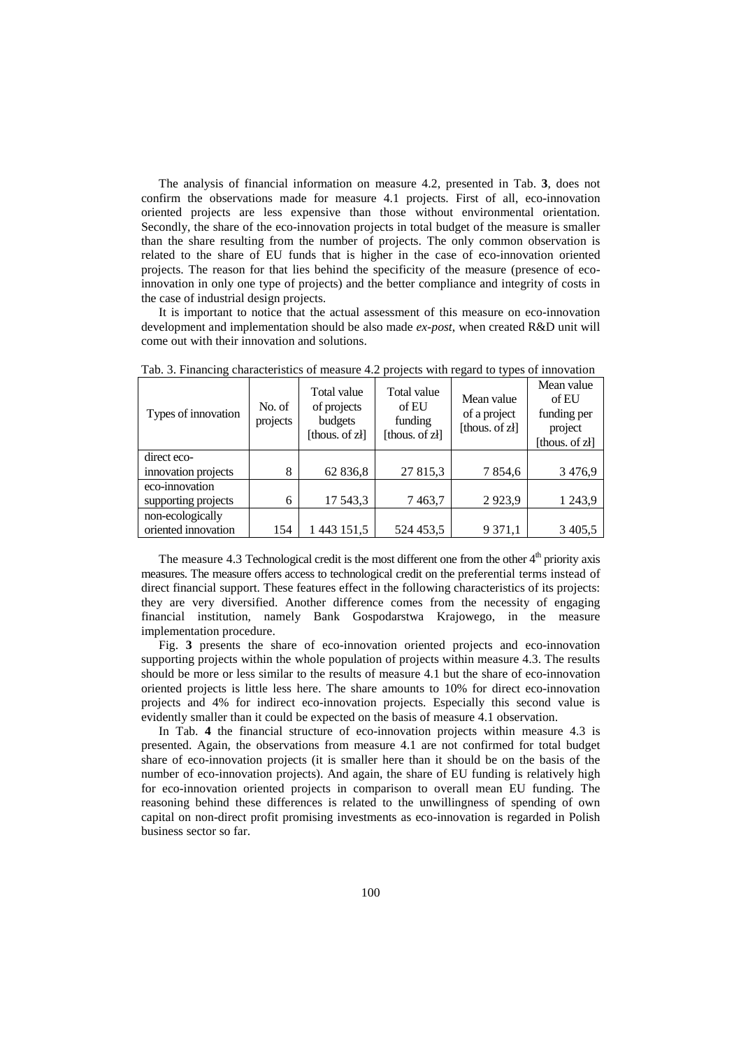The analysis of financial information on measure 4.2, presented in Tab. **3**, does not confirm the observations made for measure 4.1 projects. First of all, eco-innovation oriented projects are less expensive than those without environmental orientation. Secondly, the share of the eco-innovation projects in total budget of the measure is smaller than the share resulting from the number of projects. The only common observation is related to the share of EU funds that is higher in the case of eco-innovation oriented projects. The reason for that lies behind the specificity of the measure (presence of ecoinnovation in only one type of projects) and the better compliance and integrity of costs in the case of industrial design projects.

It is important to notice that the actual assessment of this measure on eco-innovation development and implementation should be also made *ex-post*, when created R&D unit will come out with their innovation and solutions.

| Types of innovation | No. of<br>projects | Total value<br>of projects<br>budgets<br>[thous. of zł] | Total value<br>of EU<br>funding<br>[thous. of zł] | n---<br>Mean value<br>of a project<br>[thous. of zł] | Mean value<br>of EU<br>funding per<br>project<br>[thous. of zł] |
|---------------------|--------------------|---------------------------------------------------------|---------------------------------------------------|------------------------------------------------------|-----------------------------------------------------------------|
| direct eco-         |                    |                                                         |                                                   |                                                      |                                                                 |
| innovation projects | 8                  | 62 836,8                                                | 27 815,3                                          | 7854,6                                               | 3476,9                                                          |
| eco-innovation      |                    |                                                         |                                                   |                                                      |                                                                 |
| supporting projects | 6                  | 17 543,3                                                | 7463,7                                            | 2923,9                                               | 1 2 4 3 , 9                                                     |
| non-ecologically    |                    |                                                         |                                                   |                                                      |                                                                 |
| oriented innovation | 154                | 1 443 151,5                                             | 524 453,5                                         | 9 3 7 1 , 1                                          | 3 4 0 5 .5                                                      |

Tab. 3. Financing characteristics of measure 4.2 projects with regard to types of innovation

The measure 4.3 Technological credit is the most different one from the other  $4<sup>th</sup>$  priority axis measures. The measure offers access to technological credit on the preferential terms instead of direct financial support. These features effect in the following characteristics of its projects: they are very diversified. Another difference comes from the necessity of engaging financial institution, namely Bank Gospodarstwa Krajowego, in the measure implementation procedure.

Fig. **3** presents the share of eco-innovation oriented projects and eco-innovation supporting projects within the whole population of projects within measure 4.3. The results should be more or less similar to the results of measure 4.1 but the share of eco-innovation oriented projects is little less here. The share amounts to 10% for direct eco-innovation projects and 4% for indirect eco-innovation projects. Especially this second value is evidently smaller than it could be expected on the basis of measure 4.1 observation.

In Tab. **4** the financial structure of eco-innovation projects within measure 4.3 is presented. Again, the observations from measure 4.1 are not confirmed for total budget share of eco-innovation projects (it is smaller here than it should be on the basis of the number of eco-innovation projects). And again, the share of EU funding is relatively high for eco-innovation oriented projects in comparison to overall mean EU funding. The reasoning behind these differences is related to the unwillingness of spending of own capital on non-direct profit promising investments as eco-innovation is regarded in Polish business sector so far.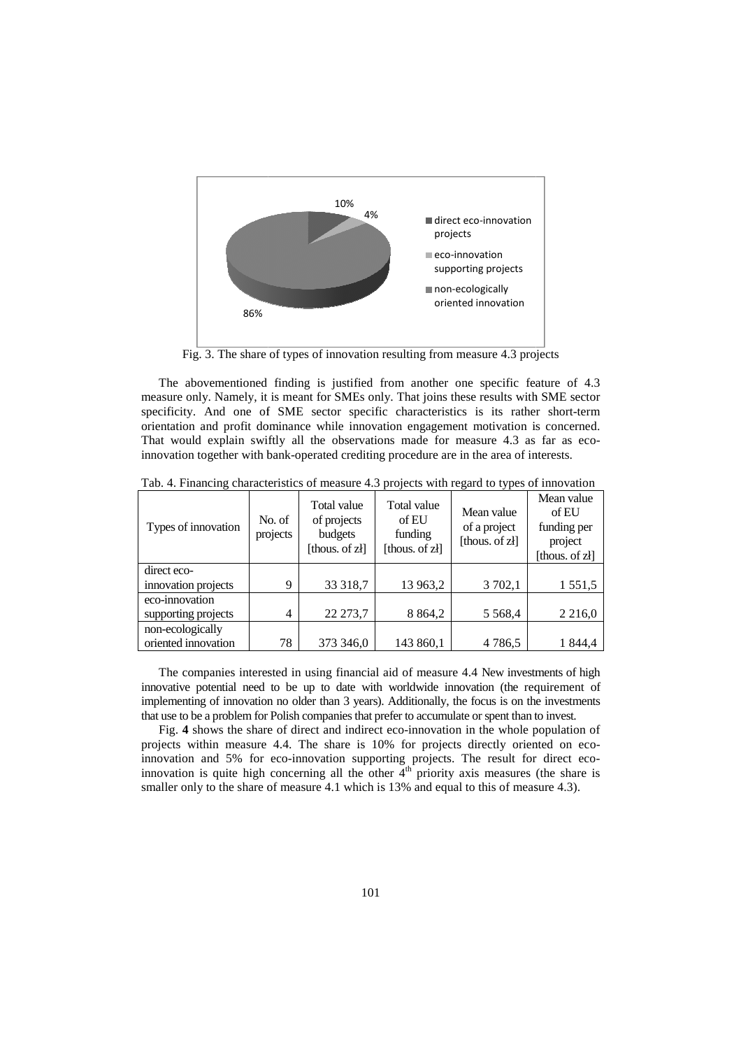

Fig. 3. The share of types of innovation resulting from measure 4.3 projects

The abovementioned finding is justified from another one specific feature of 4.3 measure only. Namely, it is meant for SMEs only. That joins these results with SME sector specificity. And one of SME sector specific characteristics is its rather short-term orientation and profit dominance while innovation engagement motivation is concerned. That would explain swiftly all the observations made for measure 4.3 as far as ecoinnovation together with bank bank-operated crediting procedure are in the area of interests.

| Types of innovation | No. of<br>projects | Total value<br>of projects<br>budgets<br>[thous. of zł] | Total value<br>of EU<br>funding<br>[thous. of zł] | Mean value<br>of a project<br>[thous. of zł] | Mean value<br>of EU<br>funding per<br>project<br>[thous. of zł] |
|---------------------|--------------------|---------------------------------------------------------|---------------------------------------------------|----------------------------------------------|-----------------------------------------------------------------|
| direct eco-         |                    |                                                         |                                                   |                                              |                                                                 |
| innovation projects | 9                  | 33 318,7                                                | 13 963,2                                          | 3 702,1                                      | 1 551,5                                                         |
| eco-innovation      |                    |                                                         |                                                   |                                              |                                                                 |
| supporting projects | 4                  | 22 273,7                                                | 8 8 6 4 , 2                                       | 5 5 6 8 4                                    | 2 2 1 6 0                                                       |
| non-ecologically    |                    |                                                         |                                                   |                                              |                                                                 |
| oriented innovation | 78                 | 373 346,0                                               | 143 860,1                                         | 4 7 8 6, 5                                   | 1 844,4                                                         |

Tab. 4. Financing characteristics of measure 4.3 projects with regard to types of innovation

The companies interested in using financial aid of measure 4.4 New investments of high innovative potential need to be up to date with worldwide innovation (the requirement of implementing of innovation no older than 3 years). Additionally, the focus is on the investments that use to be a problem for Polish companies that prefer to accumulate or spent than to invest.

Fig. 4 shows the share of direct and indirect eco-innovation in the whole population of Fig. 4 shows the share of direct and indirect eco-innovation in the whole population of projects within measure 4.4. The share is 10% for projects directly oriented on ecoinnovation and 5% for eco-innovation supporting projects. The result for direct ecoinnovation is quite high concerning all the other  $4<sup>th</sup>$  priority axis measures (the share is smaller only to the share of measure 4.1 which is 13% and equal to this of measure 4.3).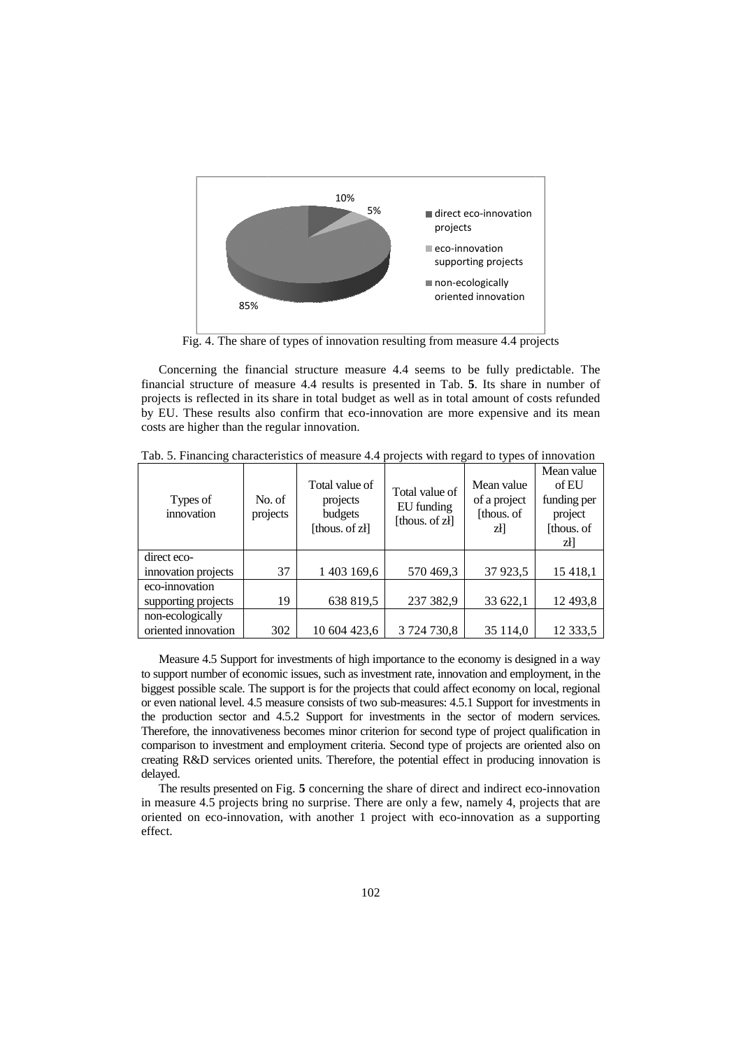

Fig. 4. The share of types of innovation resulting from measure 4.4 projects

Concerning the financial structure measure 4.4 seems to be fully predictable. The financial structure of measure 4.4 results is presented in Tab. **5**. Its share in number of projects is reflected in its share in total budget as well as in total amount of costs refunded by EU. These results also confirm that eco-innovation are more expensive and its mean costs are higher than the regular innovation. e and its mean<br>
s of innovation<br>
Mean value

| Types of<br>innovation             | No. of<br>projects | Total value of<br>projects<br>budgets<br>[thous. of zł] | Total value of<br>EU funding<br>[thous. of zł] | Mean value<br>of a project<br>[thous. of<br>zł] | Mean value<br>of EU<br>funding per<br>project<br>[thous. of]<br>zł] |
|------------------------------------|--------------------|---------------------------------------------------------|------------------------------------------------|-------------------------------------------------|---------------------------------------------------------------------|
| direct eco-<br>innovation projects | 37                 | 1 403 169,6                                             | 570 469,3                                      | 37 923,5                                        | 15 4 18,1                                                           |
| eco-innovation                     |                    |                                                         |                                                |                                                 |                                                                     |
| supporting projects                | 19                 | 638 819,5                                               | 237 382,9                                      | 33 622,1                                        | 12 4 93,8                                                           |
| non-ecologically                   |                    |                                                         |                                                |                                                 |                                                                     |
| oriented innovation                | 302                | 10 604 423.6                                            | 3 724 730,8                                    | 35 114,0                                        | 12 3 3 3 5                                                          |

Tab. 5. Financing characteristics of measure 4.4 projects with regard to types of innovation

Measure 4.5 Support for investments of high importance to the economy is designed in a way to support number of economic issues, such as investment rate, innovation and employment, in the biggest possible scale. The support is for the projects that could affect economy on local, regional or even national level. 4.5 measure consists of two sub-measures: 4.5.1 Support for investments in the production sector and 4.5.2 Support for investments in the sector of modern services. Therefore, the innovativeness becomes minor criterion for second type of project qualification in comparison to investment and employment criteria. Second type of projects are oriented also on creating R&D services oriented units. Therefore, the potential effect in producing innovation is delayed.

The results presented on Fig. 5 concerning the share of direct and indirect eco-innovation in measure 4.5 projects bring no surprise. There are only a few, namely 4, projects that are oriented on eco-innovation, with another 1 project with eco-innovation as a supporting effect.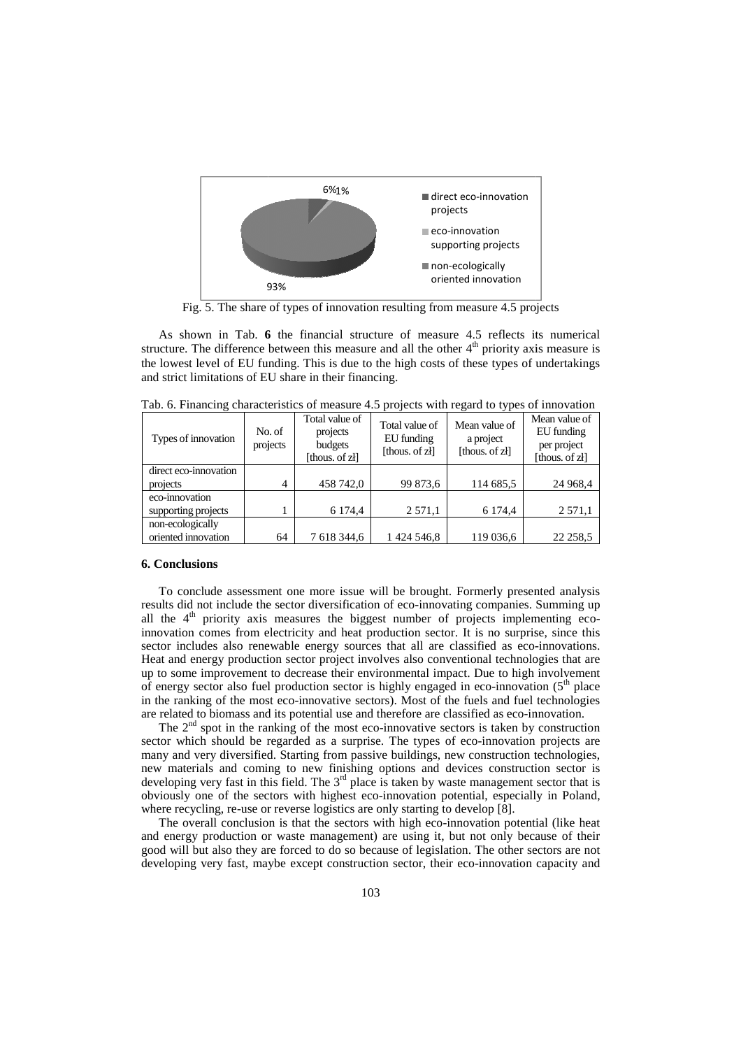

Fig. 5. The share of types of innovation resulting from measure 4.5 projects

As shown in Tab. **6** the financial structure of measure 4.5 reflects its numerical structure. The difference between this measure and all the other  $4<sup>th</sup>$  priority axis measure is the lowest level of EU funding. This is due to the high costs of these types of undertakings and strict limitations of EU share in their financing.

| Types of innovation   | No. of<br>projects | Total value of<br>projects<br>budgets<br>[thous. of zł] | Total value of<br>EU funding<br>[thous. of zł] | Mean value of<br>a project<br>[thous. of zł] | Mean value of<br>EU funding<br>per project<br>[thous. of zł] |
|-----------------------|--------------------|---------------------------------------------------------|------------------------------------------------|----------------------------------------------|--------------------------------------------------------------|
| direct eco-innovation |                    |                                                         |                                                |                                              |                                                              |
| projects              | $\overline{4}$     | 458 742,0                                               | 99 873,6                                       | 114 685,5                                    | 24 968,4                                                     |
| eco-innovation        |                    |                                                         |                                                |                                              |                                                              |
| supporting projects   |                    | 6 174,4                                                 | 2 5 7 1 , 1                                    | 6 174,4                                      | 2 5 7 1 , 1                                                  |
| non-ecologically      |                    |                                                         |                                                |                                              |                                                              |
| oriented innovation   | 64                 | 7 618 344,6                                             | 1 424 546,8                                    | 119 036,6                                    | 22 2 58, 5                                                   |

Tab. 6. Financing characteristics of measure 4. . 4.5 projects with regard to types of innovation

# **6. Conclusions**

To conclude assessment one more issue will be brought. Formerly presented analysis results did not include the sector diversification of eco-innovating companies. Summing up results did not include the sector diversification of eco-innovating companies. Summing up all the  $4<sup>th</sup>$  priority axis measures the biggest number of projects implementing ecoinnovation comes from electricity and heat production sector. It is no surprise, since this innovation comes from electricity and heat production sector. It is no surprise, since this sector includes also renewable energy sources that all are classified as eco-innovations. Heat and energy production sector project involves also conventional technologies that are up to some improvement to decrease their environmental impact. Due to high involvement up to some improvement to decrease their environmental impact. Due to high involvement of energy sector also fuel production sector is highly engaged in eco-innovation  $(5<sup>th</sup>$  place in the ranking of the most eco-innovative sectors). Most of the fuels and fuel technologies are related to biomass and its potential use and therefore are classified as eco-innovation.

The  $2<sup>nd</sup>$  spot in the ranking of the most eco-innovative sectors is taken by construction sector which should be regarded as a surprise. The types of eco-innovation projects are many and very diversified. Starting from passive buildings, new construction technologies, new materials and coming to new finishing options and devices construction sector is developing very fast in this field. The  $3<sup>rd</sup>$  place is taken by waste management sector that is obviously one of the sectors with highest eco-innovation potential, especially in Poland, where recycling, re-use or reverse logistics are only starting to develop [8]. innovative sectors). Most of the fuels and fuel technologies<br>otential use and therefore are classified as eco-innovation.<br>of the most eco-innovative sectors is taken by construction<br>ed as a surprise. The types of eco-inno

The overall conclusion is that the sectors with high eco-innovation potential (like heat and energy production or waste management) are using it, but not only because good will but also they are forced to do so because of legislation. The other sectors are not developing very fast, maybe except construction sector, their eco-innovation capacity and